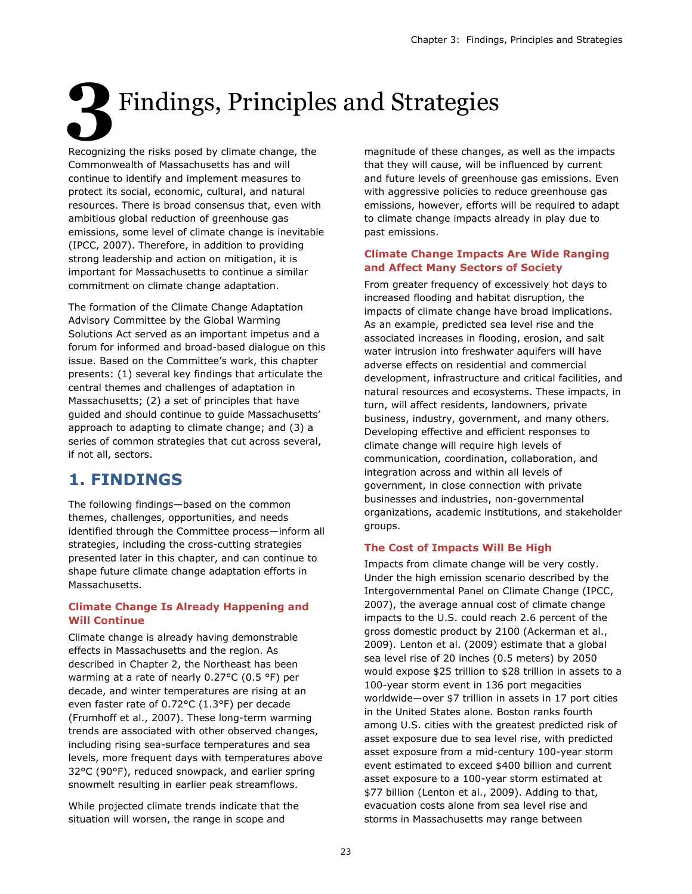# **3**Findings, Principles and Strategies

Recognizing the risks posed by climate change, the Commonwealth of Massachusetts has and will continue to identify and implement measures to protect its social, economic, cultural, and natural resources. There is broad consensus that, even with ambitious global reduction of greenhouse gas emissions, some level of climate change is inevitable (IPCC, 2007). Therefore, in addition to providing strong leadership and action on mitigation, it is important for Massachusetts to continue a similar commitment on climate change adaptation.

The formation of the Climate Change Adaptation Advisory Committee by the Global Warming Solutions Act served as an important impetus and a forum for informed and broad-based dialogue on this issue. Based on the Committee's work, this chapter presents: (1) several key findings that articulate the central themes and challenges of adaptation in Massachusetts; (2) a set of principles that have guided and should continue to guide Massachusetts' approach to adapting to climate change; and (3) a series of common strategies that cut across several, if not all, sectors.

## **1. FINDINGS**

The following findings—based on the common themes, challenges, opportunities, and needs identified through the Committee process—inform all strategies, including the cross-cutting strategies presented later in this chapter, and can continue to shape future climate change adaptation efforts in Massachusetts.

#### **Climate Change Is Already Happening and Will Continue**

Climate change is already having demonstrable effects in Massachusetts and the region. As described in Chapter 2, the Northeast has been warming at a rate of nearly 0.27°C (0.5 °F) per decade, and winter temperatures are rising at an even faster rate of 0.72°C (1.3°F) per decade (Frumhoff et al., 2007). These long-term warming trends are associated with other observed changes, including rising sea-surface temperatures and sea levels, more frequent days with temperatures above 32°C (90°F), reduced snowpack, and earlier spring snowmelt resulting in earlier peak streamflows.

While projected climate trends indicate that the situation will worsen, the range in scope and

magnitude of these changes, as well as the impacts that they will cause, will be influenced by current and future levels of greenhouse gas emissions. Even with aggressive policies to reduce greenhouse gas emissions, however, efforts will be required to adapt to climate change impacts already in play due to past emissions.

#### **Climate Change Impacts Are Wide Ranging and Affect Many Sectors of Society**

From greater frequency of excessively hot days to increased flooding and habitat disruption, the impacts of climate change have broad implications. As an example, predicted sea level rise and the associated increases in flooding, erosion, and salt water intrusion into freshwater aquifers will have adverse effects on residential and commercial development, infrastructure and critical facilities, and natural resources and ecosystems. These impacts, in turn, will affect residents, landowners, private business, industry, government, and many others. Developing effective and efficient responses to climate change will require high levels of communication, coordination, collaboration, and integration across and within all levels of government, in close connection with private businesses and industries, non-governmental organizations, academic institutions, and stakeholder groups.

#### **The Cost of Impacts Will Be High**

Impacts from climate change will be very costly. Under the high emission scenario described by the Intergovernmental Panel on Climate Change (IPCC, 2007), the average annual cost of climate change impacts to the U.S. could reach 2.6 percent of the gross domestic product by 2100 (Ackerman et al., 2009). Lenton et al. (2009) estimate that a global sea level rise of 20 inches (0.5 meters) by 2050 would expose \$25 trillion to \$28 trillion in assets to a 100-year storm event in 136 port megacities worldwide—over \$7 trillion in assets in 17 port cities in the United States alone. Boston ranks fourth among U.S. cities with the greatest predicted risk of asset exposure due to sea level rise, with predicted asset exposure from a mid-century 100-year storm event estimated to exceed \$400 billion and current asset exposure to a 100-year storm estimated at \$77 billion (Lenton et al., 2009). Adding to that, evacuation costs alone from sea level rise and storms in Massachusetts may range between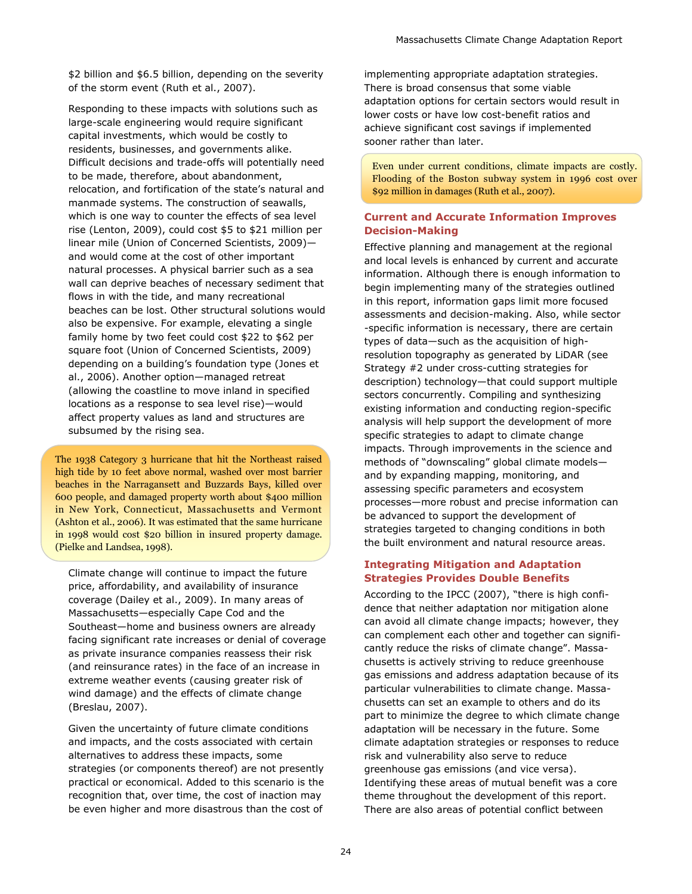\$2 billion and \$6.5 billion, depending on the severity of the storm event (Ruth et al., 2007).

Responding to these impacts with solutions such as large-scale engineering would require significant capital investments, which would be costly to residents, businesses, and governments alike. Difficult decisions and trade-offs will potentially need to be made, therefore, about abandonment, relocation, and fortification of the state's natural and manmade systems. The construction of seawalls, which is one way to counter the effects of sea level rise (Lenton, 2009), could cost \$5 to \$21 million per linear mile (Union of Concerned Scientists, 2009) and would come at the cost of other important natural processes. A physical barrier such as a sea wall can deprive beaches of necessary sediment that flows in with the tide, and many recreational beaches can be lost. Other structural solutions would also be expensive. For example, elevating a single family home by two feet could cost \$22 to \$62 per square foot (Union of Concerned Scientists, 2009) depending on a building's foundation type (Jones et al., 2006). Another option—managed retreat (allowing the coastline to move inland in specified locations as a response to sea level rise)—would affect property values as land and structures are subsumed by the rising sea.

The 1938 Category 3 hurricane that hit the Northeast raised high tide by 10 feet above normal, washed over most barrier beaches in the Narragansett and Buzzards Bays, killed over 600 people, and damaged property worth about \$400 million in New York, Connecticut, Massachusetts and Vermont (Ashton et al., 2006). It was estimated that the same hurricane in 1998 would cost \$20 billion in insured property damage. (Pielke and Landsea, 1998).

Climate change will continue to impact the future price, affordability, and availability of insurance coverage (Dailey et al., 2009). In many areas of Massachusetts—especially Cape Cod and the Southeast—home and business owners are already facing significant rate increases or denial of coverage as private insurance companies reassess their risk (and reinsurance rates) in the face of an increase in extreme weather events (causing greater risk of wind damage) and the effects of climate change (Breslau, 2007).

Given the uncertainty of future climate conditions and impacts, and the costs associated with certain alternatives to address these impacts, some strategies (or components thereof) are not presently practical or economical. Added to this scenario is the recognition that, over time, the cost of inaction may be even higher and more disastrous than the cost of implementing appropriate adaptation strategies. There is broad consensus that some viable adaptation options for certain sectors would result in lower costs or have low cost-benefit ratios and achieve significant cost savings if implemented sooner rather than later.

Even under current conditions, climate impacts are costly. Flooding of the Boston subway system in 1996 cost over \$92 million in damages (Ruth et al., 2007).

#### **Current and Accurate Information Improves Decision-Making**

Effective planning and management at the regional and local levels is enhanced by current and accurate information. Although there is enough information to begin implementing many of the strategies outlined in this report, information gaps limit more focused assessments and decision-making. Also, while sector -specific information is necessary, there are certain types of data—such as the acquisition of highresolution topography as generated by LiDAR (see Strategy #2 under cross-cutting strategies for description) technology—that could support multiple sectors concurrently. Compiling and synthesizing existing information and conducting region-specific analysis will help support the development of more specific strategies to adapt to climate change impacts. Through improvements in the science and methods of "downscaling" global climate models and by expanding mapping, monitoring, and assessing specific parameters and ecosystem processes—more robust and precise information can be advanced to support the development of strategies targeted to changing conditions in both the built environment and natural resource areas.

#### **Integrating Mitigation and Adaptation Strategies Provides Double Benefits**

According to the IPCC (2007), "there is high confidence that neither adaptation nor mitigation alone can avoid all climate change impacts; however, they can complement each other and together can significantly reduce the risks of climate change". Massachusetts is actively striving to reduce greenhouse gas emissions and address adaptation because of its particular vulnerabilities to climate change. Massachusetts can set an example to others and do its part to minimize the degree to which climate change adaptation will be necessary in the future. Some climate adaptation strategies or responses to reduce risk and vulnerability also serve to reduce greenhouse gas emissions (and vice versa). Identifying these areas of mutual benefit was a core theme throughout the development of this report. There are also areas of potential conflict between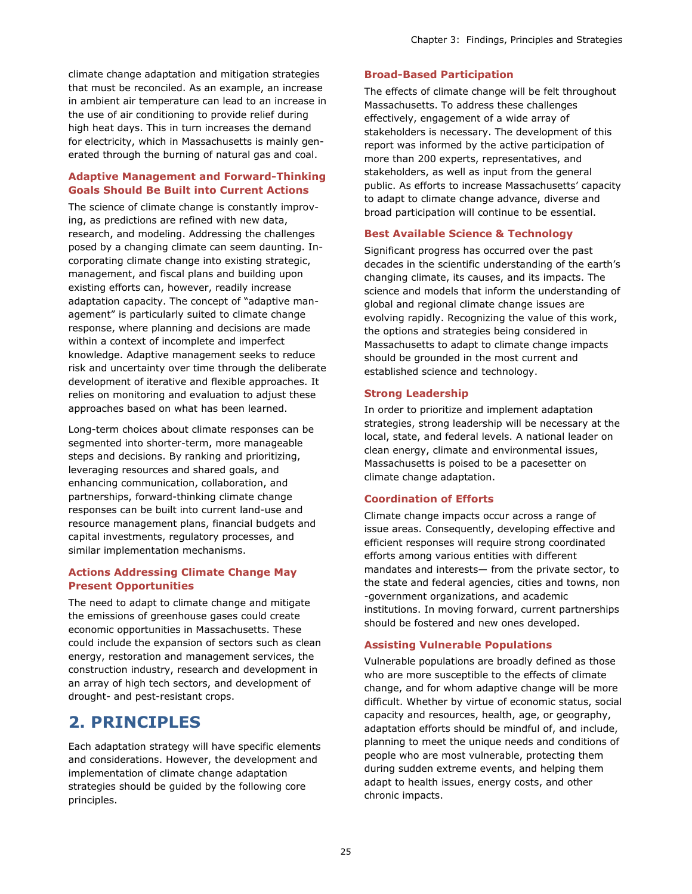climate change adaptation and mitigation strategies that must be reconciled. As an example, an increase in ambient air temperature can lead to an increase in the use of air conditioning to provide relief during high heat days. This in turn increases the demand for electricity, which in Massachusetts is mainly generated through the burning of natural gas and coal.

#### **Adaptive Management and Forward-Thinking Goals Should Be Built into Current Actions**

The science of climate change is constantly improving, as predictions are refined with new data, research, and modeling. Addressing the challenges posed by a changing climate can seem daunting. Incorporating climate change into existing strategic, management, and fiscal plans and building upon existing efforts can, however, readily increase adaptation capacity. The concept of "adaptive management" is particularly suited to climate change response, where planning and decisions are made within a context of incomplete and imperfect knowledge. Adaptive management seeks to reduce risk and uncertainty over time through the deliberate development of iterative and flexible approaches. It relies on monitoring and evaluation to adjust these approaches based on what has been learned.

Long-term choices about climate responses can be segmented into shorter-term, more manageable steps and decisions. By ranking and prioritizing, leveraging resources and shared goals, and enhancing communication, collaboration, and partnerships, forward-thinking climate change responses can be built into current land-use and resource management plans, financial budgets and capital investments, regulatory processes, and similar implementation mechanisms.

#### **Actions Addressing Climate Change May Present Opportunities**

The need to adapt to climate change and mitigate the emissions of greenhouse gases could create economic opportunities in Massachusetts. These could include the expansion of sectors such as clean energy, restoration and management services, the construction industry, research and development in an array of high tech sectors, and development of drought- and pest-resistant crops.

## **2. PRINCIPLES**

Each adaptation strategy will have specific elements and considerations. However, the development and implementation of climate change adaptation strategies should be guided by the following core principles.

#### **Broad-Based Participation**

The effects of climate change will be felt throughout Massachusetts. To address these challenges effectively, engagement of a wide array of stakeholders is necessary. The development of this report was informed by the active participation of more than 200 experts, representatives, and stakeholders, as well as input from the general public. As efforts to increase Massachusetts' capacity to adapt to climate change advance, diverse and broad participation will continue to be essential.

#### **Best Available Science & Technology**

Significant progress has occurred over the past decades in the scientific understanding of the earth's changing climate, its causes, and its impacts. The science and models that inform the understanding of global and regional climate change issues are evolving rapidly. Recognizing the value of this work, the options and strategies being considered in Massachusetts to adapt to climate change impacts should be grounded in the most current and established science and technology.

#### **Strong Leadership**

In order to prioritize and implement adaptation strategies, strong leadership will be necessary at the local, state, and federal levels. A national leader on clean energy, climate and environmental issues, Massachusetts is poised to be a pacesetter on climate change adaptation.

#### **Coordination of Efforts**

Climate change impacts occur across a range of issue areas. Consequently, developing effective and efficient responses will require strong coordinated efforts among various entities with different mandates and interests— from the private sector, to the state and federal agencies, cities and towns, non -government organizations, and academic institutions. In moving forward, current partnerships should be fostered and new ones developed.

#### **Assisting Vulnerable Populations**

Vulnerable populations are broadly defined as those who are more susceptible to the effects of climate change, and for whom adaptive change will be more difficult. Whether by virtue of economic status, social capacity and resources, health, age, or geography, adaptation efforts should be mindful of, and include, planning to meet the unique needs and conditions of people who are most vulnerable, protecting them during sudden extreme events, and helping them adapt to health issues, energy costs, and other chronic impacts.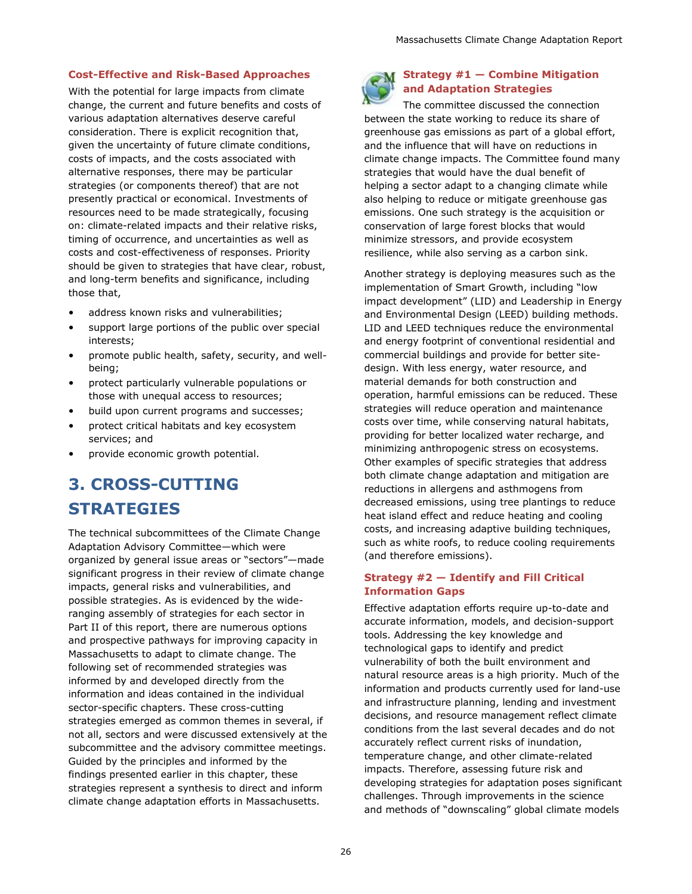#### **Cost-Effective and Risk-Based Approaches**

With the potential for large impacts from climate change, the current and future benefits and costs of various adaptation alternatives deserve careful consideration. There is explicit recognition that, given the uncertainty of future climate conditions, costs of impacts, and the costs associated with alternative responses, there may be particular strategies (or components thereof) that are not presently practical or economical. Investments of resources need to be made strategically, focusing on: climate-related impacts and their relative risks, timing of occurrence, and uncertainties as well as costs and cost-effectiveness of responses. Priority should be given to strategies that have clear, robust, and long-term benefits and significance, including those that,

- address known risks and vulnerabilities;
- support large portions of the public over special interests;
- promote public health, safety, security, and wellbeing;
- protect particularly vulnerable populations or those with unequal access to resources;
- build upon current programs and successes;
- protect critical habitats and key ecosystem services; and
- provide economic growth potential.

# **3. CROSS-CUTTING STRATEGIES**

The technical subcommittees of the Climate Change Adaptation Advisory Committee—which were organized by general issue areas or "sectors"—made significant progress in their review of climate change impacts, general risks and vulnerabilities, and possible strategies. As is evidenced by the wideranging assembly of strategies for each sector in Part II of this report, there are numerous options and prospective pathways for improving capacity in Massachusetts to adapt to climate change. The following set of recommended strategies was informed by and developed directly from the information and ideas contained in the individual sector-specific chapters. These cross-cutting strategies emerged as common themes in several, if not all, sectors and were discussed extensively at the subcommittee and the advisory committee meetings. Guided by the principles and informed by the findings presented earlier in this chapter, these strategies represent a synthesis to direct and inform climate change adaptation efforts in Massachusetts.



#### **Strategy #1 — Combine Mitigation and Adaptation Strategies**

The committee discussed the connection between the state working to reduce its share of greenhouse gas emissions as part of a global effort, and the influence that will have on reductions in climate change impacts. The Committee found many strategies that would have the dual benefit of helping a sector adapt to a changing climate while also helping to reduce or mitigate greenhouse gas emissions. One such strategy is the acquisition or conservation of large forest blocks that would minimize stressors, and provide ecosystem resilience, while also serving as a carbon sink.

Another strategy is deploying measures such as the implementation of Smart Growth, including "low impact development" (LID) and Leadership in Energy and Environmental Design (LEED) building methods. LID and LEED techniques reduce the environmental and energy footprint of conventional residential and commercial buildings and provide for better sitedesign. With less energy, water resource, and material demands for both construction and operation, harmful emissions can be reduced. These strategies will reduce operation and maintenance costs over time, while conserving natural habitats, providing for better localized water recharge, and minimizing anthropogenic stress on ecosystems. Other examples of specific strategies that address both climate change adaptation and mitigation are reductions in allergens and asthmogens from decreased emissions, using tree plantings to reduce heat island effect and reduce heating and cooling costs, and increasing adaptive building techniques, such as white roofs, to reduce cooling requirements (and therefore emissions).

#### **Strategy #2 — Identify and Fill Critical Information Gaps**

Effective adaptation efforts require up-to-date and accurate information, models, and decision-support tools. Addressing the key knowledge and technological gaps to identify and predict vulnerability of both the built environment and natural resource areas is a high priority. Much of the information and products currently used for land-use and infrastructure planning, lending and investment decisions, and resource management reflect climate conditions from the last several decades and do not accurately reflect current risks of inundation, temperature change, and other climate-related impacts. Therefore, assessing future risk and developing strategies for adaptation poses significant challenges. Through improvements in the science and methods of "downscaling" global climate models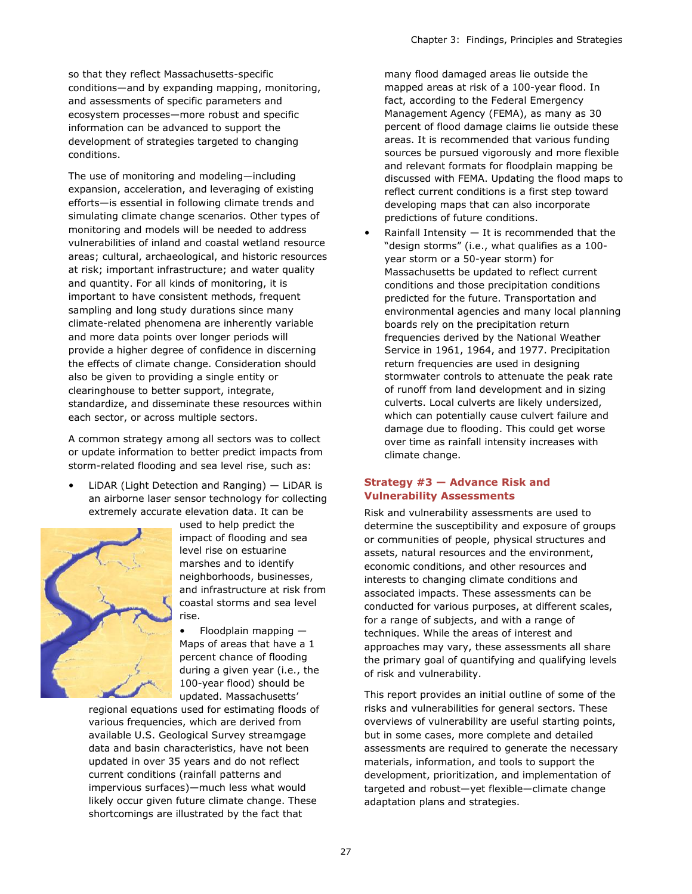so that they reflect Massachusetts-specific conditions—and by expanding mapping, monitoring, and assessments of specific parameters and ecosystem processes—more robust and specific information can be advanced to support the development of strategies targeted to changing conditions.

The use of monitoring and modeling—including expansion, acceleration, and leveraging of existing efforts—is essential in following climate trends and simulating climate change scenarios. Other types of monitoring and models will be needed to address vulnerabilities of inland and coastal wetland resource areas; cultural, archaeological, and historic resources at risk; important infrastructure; and water quality and quantity. For all kinds of monitoring, it is important to have consistent methods, frequent sampling and long study durations since many climate-related phenomena are inherently variable and more data points over longer periods will provide a higher degree of confidence in discerning the effects of climate change. Consideration should also be given to providing a single entity or clearinghouse to better support, integrate, standardize, and disseminate these resources within each sector, or across multiple sectors.

A common strategy among all sectors was to collect or update information to better predict impacts from storm-related flooding and sea level rise, such as:

LiDAR (Light Detection and Ranging)  $-$  LiDAR is an airborne laser sensor technology for collecting extremely accurate elevation data. It can be



used to help predict the impact of flooding and sea level rise on estuarine marshes and to identify neighborhoods, businesses, and infrastructure at risk from coastal storms and sea level rise.

• Floodplain mapping — Maps of areas that have a 1 percent chance of flooding during a given year (i.e., the 100-year flood) should be updated. Massachusetts'

regional equations used for estimating floods of various frequencies, which are derived from available U.S. Geological Survey streamgage data and basin characteristics, have not been updated in over 35 years and do not reflect current conditions (rainfall patterns and impervious surfaces)—much less what would likely occur given future climate change. These shortcomings are illustrated by the fact that

many flood damaged areas lie outside the mapped areas at risk of a 100-year flood. In fact, according to the Federal Emergency Management Agency (FEMA), as many as 30 percent of flood damage claims lie outside these areas. It is recommended that various funding sources be pursued vigorously and more flexible and relevant formats for floodplain mapping be discussed with FEMA. Updating the flood maps to reflect current conditions is a first step toward developing maps that can also incorporate predictions of future conditions.

Rainfall Intensity  $-$  It is recommended that the "design storms" (i.e., what qualifies as a 100 year storm or a 50-year storm) for Massachusetts be updated to reflect current conditions and those precipitation conditions predicted for the future. Transportation and environmental agencies and many local planning boards rely on the precipitation return frequencies derived by the National Weather Service in 1961, 1964, and 1977. Precipitation return frequencies are used in designing stormwater controls to attenuate the peak rate of runoff from land development and in sizing culverts. Local culverts are likely undersized, which can potentially cause culvert failure and damage due to flooding. This could get worse over time as rainfall intensity increases with climate change.

#### **Strategy #3 — Advance Risk and Vulnerability Assessments**

Risk and vulnerability assessments are used to determine the susceptibility and exposure of groups or communities of people, physical structures and assets, natural resources and the environment, economic conditions, and other resources and interests to changing climate conditions and associated impacts. These assessments can be conducted for various purposes, at different scales, for a range of subjects, and with a range of techniques. While the areas of interest and approaches may vary, these assessments all share the primary goal of quantifying and qualifying levels of risk and vulnerability.

This report provides an initial outline of some of the risks and vulnerabilities for general sectors. These overviews of vulnerability are useful starting points, but in some cases, more complete and detailed assessments are required to generate the necessary materials, information, and tools to support the development, prioritization, and implementation of targeted and robust—yet flexible—climate change adaptation plans and strategies.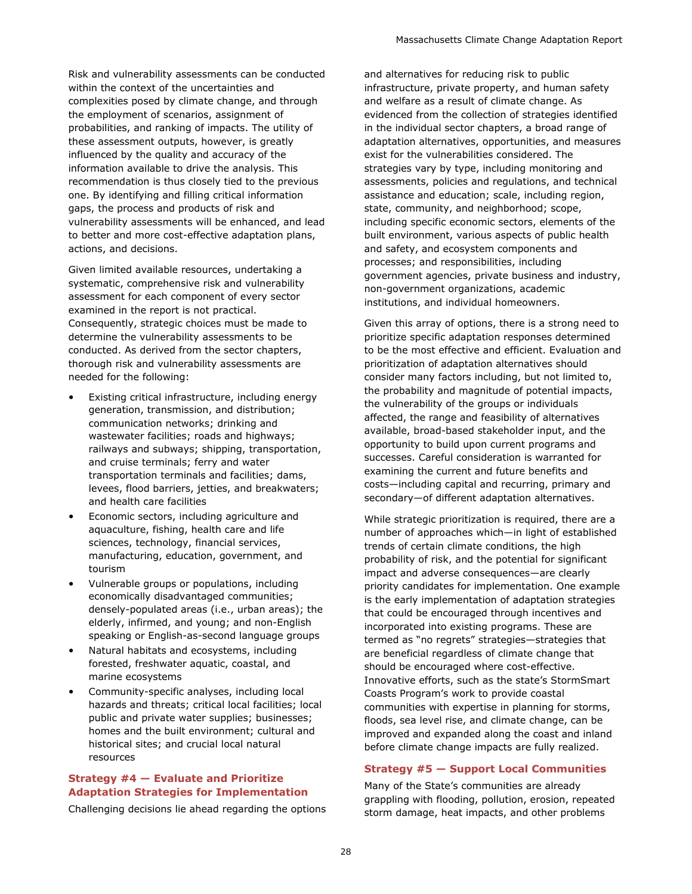Risk and vulnerability assessments can be conducted within the context of the uncertainties and complexities posed by climate change, and through the employment of scenarios, assignment of probabilities, and ranking of impacts. The utility of these assessment outputs, however, is greatly influenced by the quality and accuracy of the information available to drive the analysis. This recommendation is thus closely tied to the previous one. By identifying and filling critical information gaps, the process and products of risk and vulnerability assessments will be enhanced, and lead to better and more cost-effective adaptation plans, actions, and decisions.

Given limited available resources, undertaking a systematic, comprehensive risk and vulnerability assessment for each component of every sector examined in the report is not practical. Consequently, strategic choices must be made to determine the vulnerability assessments to be conducted. As derived from the sector chapters, thorough risk and vulnerability assessments are needed for the following:

- Existing critical infrastructure, including energy generation, transmission, and distribution; communication networks; drinking and wastewater facilities; roads and highways; railways and subways; shipping, transportation, and cruise terminals; ferry and water transportation terminals and facilities; dams, levees, flood barriers, jetties, and breakwaters; and health care facilities
- Economic sectors, including agriculture and aquaculture, fishing, health care and life sciences, technology, financial services, manufacturing, education, government, and tourism
- Vulnerable groups or populations, including economically disadvantaged communities; densely-populated areas (i.e., urban areas); the elderly, infirmed, and young; and non-English speaking or English-as-second language groups
- Natural habitats and ecosystems, including forested, freshwater aquatic, coastal, and marine ecosystems
- Community-specific analyses, including local hazards and threats; critical local facilities; local public and private water supplies; businesses; homes and the built environment; cultural and historical sites; and crucial local natural resources

#### **Strategy #4 — Evaluate and Prioritize Adaptation Strategies for Implementation**

Challenging decisions lie ahead regarding the options

and alternatives for reducing risk to public infrastructure, private property, and human safety and welfare as a result of climate change. As evidenced from the collection of strategies identified in the individual sector chapters, a broad range of adaptation alternatives, opportunities, and measures exist for the vulnerabilities considered. The strategies vary by type, including monitoring and assessments, policies and regulations, and technical assistance and education; scale, including region, state, community, and neighborhood; scope, including specific economic sectors, elements of the built environment, various aspects of public health and safety, and ecosystem components and processes; and responsibilities, including government agencies, private business and industry, non-government organizations, academic institutions, and individual homeowners.

Given this array of options, there is a strong need to prioritize specific adaptation responses determined to be the most effective and efficient. Evaluation and prioritization of adaptation alternatives should consider many factors including, but not limited to, the probability and magnitude of potential impacts, the vulnerability of the groups or individuals affected, the range and feasibility of alternatives available, broad-based stakeholder input, and the opportunity to build upon current programs and successes. Careful consideration is warranted for examining the current and future benefits and costs—including capital and recurring, primary and secondary—of different adaptation alternatives.

While strategic prioritization is required, there are a number of approaches which—in light of established trends of certain climate conditions, the high probability of risk, and the potential for significant impact and adverse consequences—are clearly priority candidates for implementation. One example is the early implementation of adaptation strategies that could be encouraged through incentives and incorporated into existing programs. These are termed as "no regrets" strategies—strategies that are beneficial regardless of climate change that should be encouraged where cost-effective. Innovative efforts, such as the state's StormSmart Coasts Program's work to provide coastal communities with expertise in planning for storms, floods, sea level rise, and climate change, can be improved and expanded along the coast and inland before climate change impacts are fully realized.

#### **Strategy #5 — Support Local Communities**

Many of the State's communities are already grappling with flooding, pollution, erosion, repeated storm damage, heat impacts, and other problems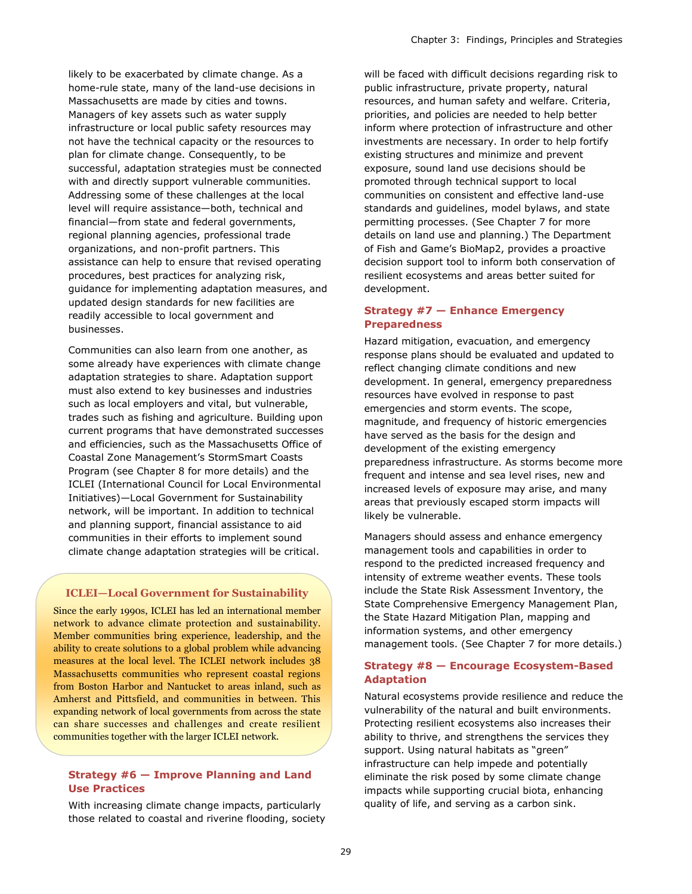likely to be exacerbated by climate change. As a home-rule state, many of the land-use decisions in Massachusetts are made by cities and towns. Managers of key assets such as water supply infrastructure or local public safety resources may not have the technical capacity or the resources to plan for climate change. Consequently, to be successful, adaptation strategies must be connected with and directly support vulnerable communities. Addressing some of these challenges at the local level will require assistance—both, technical and financial—from state and federal governments, regional planning agencies, professional trade organizations, and non-profit partners. This assistance can help to ensure that revised operating procedures, best practices for analyzing risk, guidance for implementing adaptation measures, and updated design standards for new facilities are readily accessible to local government and businesses.

Communities can also learn from one another, as some already have experiences with climate change adaptation strategies to share. Adaptation support must also extend to key businesses and industries such as local employers and vital, but vulnerable, trades such as fishing and agriculture. Building upon current programs that have demonstrated successes and efficiencies, such as the Massachusetts Office of Coastal Zone Management's StormSmart Coasts Program (see Chapter 8 for more details) and the ICLEI (International Council for Local Environmental Initiatives)—Local Government for Sustainability network, will be important. In addition to technical and planning support, financial assistance to aid communities in their efforts to implement sound climate change adaptation strategies will be critical.

#### **ICLEI—Local Government for Sustainability**

Since the early 1990s, ICLEI has led an international member network to advance climate protection and sustainability. Member communities bring experience, leadership, and the ability to create solutions to a global problem while advancing measures at the local level. The ICLEI network includes 38 Massachusetts communities who represent coastal regions from Boston Harbor and Nantucket to areas inland, such as Amherst and Pittsfield, and communities in between. This expanding network of local governments from across the state can share successes and challenges and create resilient communities together with the larger ICLEI network.

#### **Strategy #6 — Improve Planning and Land Use Practices**

With increasing climate change impacts, particularly those related to coastal and riverine flooding, society will be faced with difficult decisions regarding risk to public infrastructure, private property, natural resources, and human safety and welfare. Criteria, priorities, and policies are needed to help better inform where protection of infrastructure and other investments are necessary. In order to help fortify existing structures and minimize and prevent exposure, sound land use decisions should be promoted through technical support to local communities on consistent and effective land-use standards and guidelines, model bylaws, and state permitting processes. (See Chapter 7 for more details on land use and planning.) The Department of Fish and Game's BioMap2, provides a proactive decision support tool to inform both conservation of resilient ecosystems and areas better suited for development.

#### **Strategy #7 — Enhance Emergency Preparedness**

Hazard mitigation, evacuation, and emergency response plans should be evaluated and updated to reflect changing climate conditions and new development. In general, emergency preparedness resources have evolved in response to past emergencies and storm events. The scope, magnitude, and frequency of historic emergencies have served as the basis for the design and development of the existing emergency preparedness infrastructure. As storms become more frequent and intense and sea level rises, new and increased levels of exposure may arise, and many areas that previously escaped storm impacts will likely be vulnerable.

Managers should assess and enhance emergency management tools and capabilities in order to respond to the predicted increased frequency and intensity of extreme weather events. These tools include the State Risk Assessment Inventory, the State Comprehensive Emergency Management Plan, the State Hazard Mitigation Plan, mapping and information systems, and other emergency management tools. (See Chapter 7 for more details.)

#### **Strategy #8 — Encourage Ecosystem-Based Adaptation**

Natural ecosystems provide resilience and reduce the vulnerability of the natural and built environments. Protecting resilient ecosystems also increases their ability to thrive, and strengthens the services they support. Using natural habitats as "green" infrastructure can help impede and potentially eliminate the risk posed by some climate change impacts while supporting crucial biota, enhancing quality of life, and serving as a carbon sink.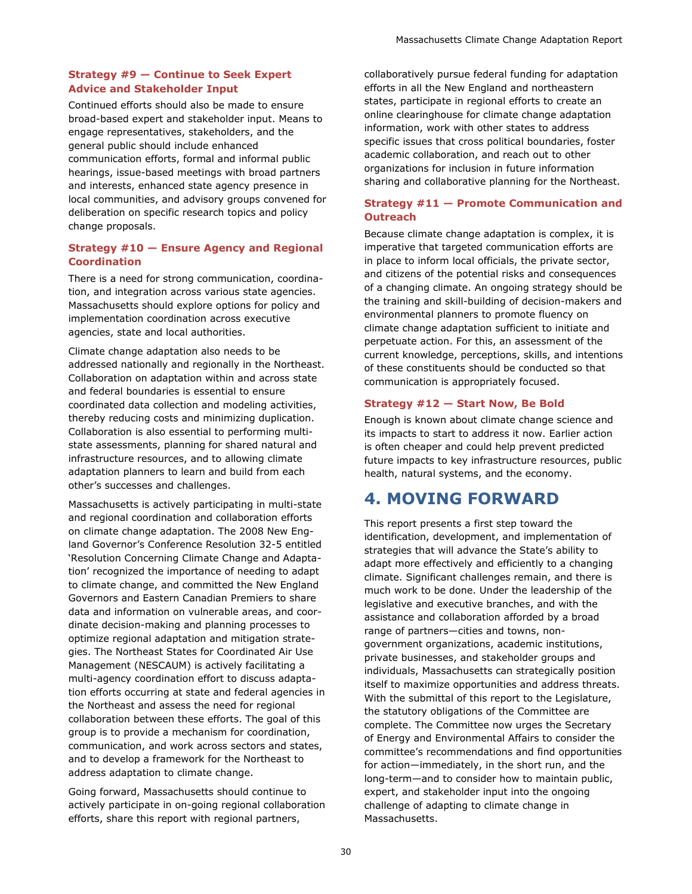#### **Strategy #9 — Continue to Seek Expert Advice and Stakeholder Input**

Continued efforts should also be made to ensure broad-based expert and stakeholder input. Means to engage representatives, stakeholders, and the general public should include enhanced communication efforts, formal and informal public hearings, issue-based meetings with broad partners and interests, enhanced state agency presence in local communities, and advisory groups convened for deliberation on specific research topics and policy change proposals.

#### **Strategy #10 — Ensure Agency and Regional Coordination**

There is a need for strong communication, coordination, and integration across various state agencies. Massachusetts should explore options for policy and implementation coordination across executive agencies, state and local authorities.

Climate change adaptation also needs to be addressed nationally and regionally in the Northeast. Collaboration on adaptation within and across state and federal boundaries is essential to ensure coordinated data collection and modeling activities, thereby reducing costs and minimizing duplication. Collaboration is also essential to performing multistate assessments, planning for shared natural and infrastructure resources, and to allowing climate adaptation planners to learn and build from each other's successes and challenges.

Massachusetts is actively participating in multi-state and regional coordination and collaboration efforts on climate change adaptation. The 2008 New England Governor's Conference Resolution 32-5 entitled 'Resolution Concerning Climate Change and Adaptation' recognized the importance of needing to adapt to climate change, and committed the New England Governors and Eastern Canadian Premiers to share data and information on vulnerable areas, and coordinate decision-making and planning processes to optimize regional adaptation and mitigation strategies. The Northeast States for Coordinated Air Use Management (NESCAUM) is actively facilitating a multi-agency coordination effort to discuss adaptation efforts occurring at state and federal agencies in the Northeast and assess the need for regional collaboration between these efforts. The goal of this group is to provide a mechanism for coordination, communication, and work across sectors and states, and to develop a framework for the Northeast to address adaptation to climate change.

Going forward, Massachusetts should continue to actively participate in on-going regional collaboration efforts, share this report with regional partners,

collaboratively pursue federal funding for adaptation efforts in all the New England and northeastern states, participate in regional efforts to create an online clearinghouse for climate change adaptation information, work with other states to address specific issues that cross political boundaries, foster academic collaboration, and reach out to other organizations for inclusion in future information sharing and collaborative planning for the Northeast.

#### **Strategy #11 — Promote Communication and Outreach**

Because climate change adaptation is complex, it is imperative that targeted communication efforts are in place to inform local officials, the private sector, and citizens of the potential risks and consequences of a changing climate. An ongoing strategy should be the training and skill-building of decision-makers and environmental planners to promote fluency on climate change adaptation sufficient to initiate and perpetuate action. For this, an assessment of the current knowledge, perceptions, skills, and intentions of these constituents should be conducted so that communication is appropriately focused.

#### **Strategy #12 — Start Now, Be Bold**

Enough is known about climate change science and its impacts to start to address it now. Earlier action is often cheaper and could help prevent predicted future impacts to key infrastructure resources, public health, natural systems, and the economy.

## **4. MOVING FORWARD**

This report presents a first step toward the identification, development, and implementation of strategies that will advance the State's ability to adapt more effectively and efficiently to a changing climate. Significant challenges remain, and there is much work to be done. Under the leadership of the legislative and executive branches, and with the assistance and collaboration afforded by a broad range of partners—cities and towns, nongovernment organizations, academic institutions, private businesses, and stakeholder groups and individuals, Massachusetts can strategically position itself to maximize opportunities and address threats. With the submittal of this report to the Legislature, the statutory obligations of the Committee are complete. The Committee now urges the Secretary of Energy and Environmental Affairs to consider the committee's recommendations and find opportunities for action—immediately, in the short run, and the long-term—and to consider how to maintain public, expert, and stakeholder input into the ongoing challenge of adapting to climate change in Massachusetts.